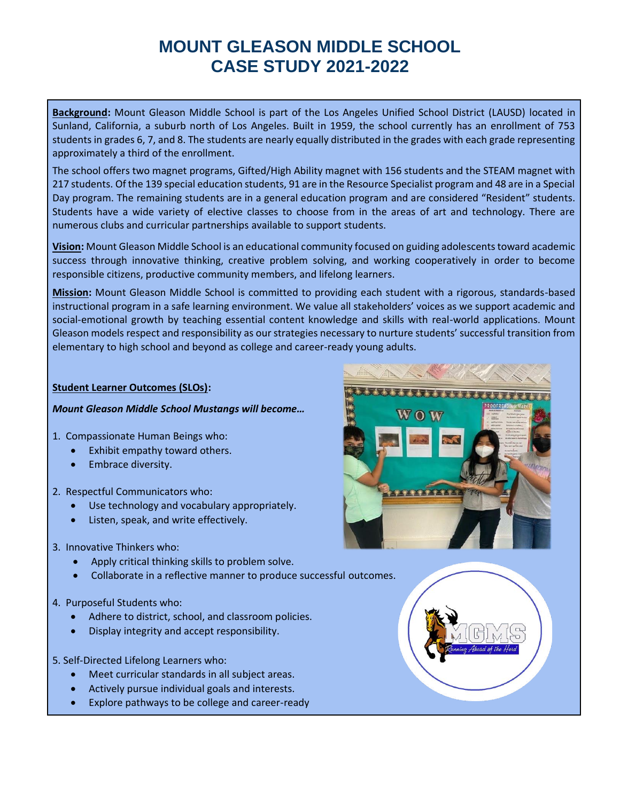**Background:** Mount Gleason Middle School is part of the Los Angeles Unified School District (LAUSD) located in Sunland, California, a suburb north of Los Angeles. Built in 1959, the school currently has an enrollment of 753 students in grades 6, 7, and 8. The students are nearly equally distributed in the grades with each grade representing approximately a third of the enrollment.

The school offers two magnet programs, Gifted/High Ability magnet with 156 students and the STEAM magnet with 217 students. Of the 139 special education students, 91 are in the Resource Specialist program and 48 are in a Special Day program. The remaining students are in a general education program and are considered "Resident" students. Students have a wide variety of elective classes to choose from in the areas of art and technology. There are numerous clubs and curricular partnerships available to support students.

**Vision:** Mount Gleason Middle School is an educational community focused on guiding adolescents toward academic success through innovative thinking, creative problem solving, and working cooperatively in order to become responsible citizens, productive community members, and lifelong learners.

**Mission:** Mount Gleason Middle School is committed to providing each student with a rigorous, standards-based instructional program in a safe learning environment. We value all stakeholders' voices as we support academic and social-emotional growth by teaching essential content knowledge and skills with real-world applications. Mount Gleason models respect and responsibility as our strategies necessary to nurture students' successful transition from elementary to high school and beyond as college and career-ready young adults.

#### **Student Learner Outcomes (SLOs):**

#### *Mount Gleason Middle School Mustangs will become…*

- 1. Compassionate Human Beings who:
	- Exhibit empathy toward others.
	- Embrace diversity.
- 2. Respectful Communicators who:
	- Use technology and vocabulary appropriately.
	- Listen, speak, and write effectively.
- 3. Innovative Thinkers who:
	- Apply critical thinking skills to problem solve.
	- Collaborate in a reflective manner to produce successful outcomes.
- 4. Purposeful Students who:
	- Adhere to district, school, and classroom policies.
	- Display integrity and accept responsibility.
- 5. Self-Directed Lifelong Learners who:
	- Meet curricular standards in all subject areas.
	- Actively pursue individual goals and interests.
	- Explore pathways to be college and career-ready

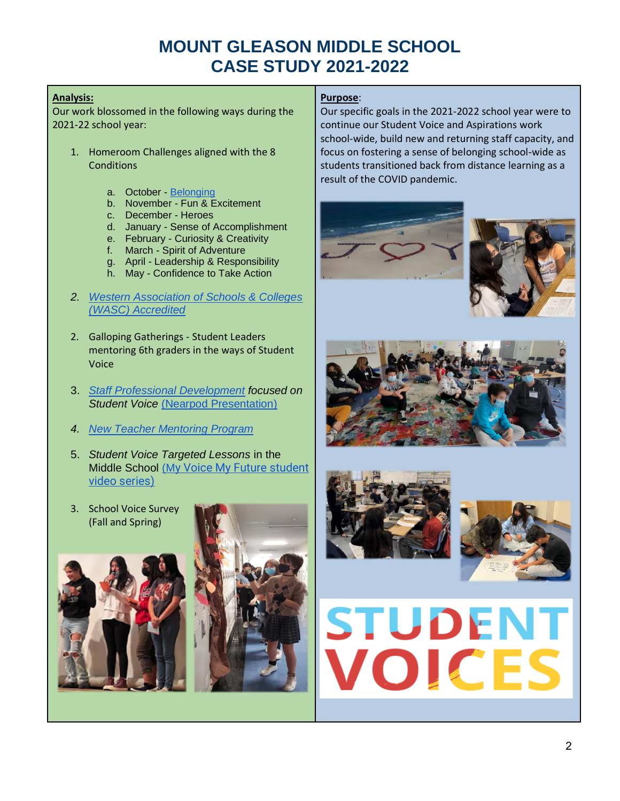#### **Analysis:**

Our work blossomed in the following ways during the 2021-22 school year:

- 1. Homeroom Challenges aligned with the 8 **Conditions** 
	- a. October [Belonging](https://docs.google.com/presentation/d/159LBkg0FAhTCVEzpiIvr3P4NFTehKF1uAf6OY6FKtZw/edit?usp=sharing)
	- b. November Fun & Excitement
	- c. December Heroes
	- d. January Sense of Accomplishment
	- e. February Curiosity & Creativity
	- f. March Spirit of Adventure
	- g. April Leadership & Responsibility
	- h. May Confidence to Take Action
- *2. [Western Association of Schools & Colleges](https://www.acswasc.org/)  [\(WASC\) Accredited](https://www.acswasc.org/)*
- 2. Galloping Gatherings Student Leaders mentoring 6th graders in the ways of Student Voice
- 3. *[Staff Professional Development](https://docs.google.com/document/d/1etcLhHJHkSo7uUBZjtyZXE50FYmFEDI6EHaaDSxLq7w/edit?usp=sharing) focused on Student Voice* [\(Nearpod Presentation\)](https://app.nearpod.com/presentation?pin=1D8A2DFE4A9D96A023BE3F59B3836966-1)
- *4. [New Teacher Mentoring Program](https://docs.google.com/document/d/1m8B94XixPKuKK-gs0OiDFMBwOvKSWMfQ/edit?usp=sharing&ouid=107235844652608826570&rtpof=true&sd=true)*
- 5. *Student Voice Targeted Lessons* in the Middle School [\(M](https://quagliainstitute.org/webinar-series-reflective-guides)[y Voice My Future student](https://quagliainstitute.org/webinar-series-reflective-guides)  [video series\)](https://quagliainstitute.org/webinar-series-reflective-guides)
- 3. School Voice Survey (Fall and Spring)





### **Purpose**:

Our specific goals in the 2021-2022 school year were to continue our Student Voice and Aspirations work school-wide, build new and returning staff capacity, and focus on fostering a sense of belonging school-wide as students transitioned back from distance learning as a result of the COVID pandemic.











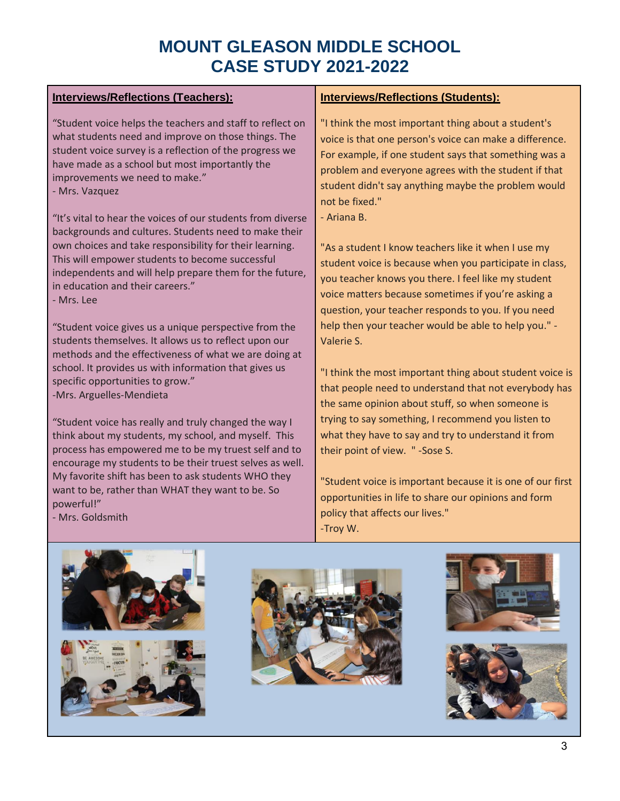### **Interviews/Reflections (Teachers):**

"Student voice helps the teachers and staff to reflect on what students need and improve on those things. The student voice survey is a reflection of the progress we have made as a school but most importantly the improvements we need to make."

- Mrs. Vazquez

"It's vital to hear the voices of our students from diverse backgrounds and cultures. Students need to make their own choices and take responsibility for their learning. This will empower students to become successful independents and will help prepare them for the future, in education and their careers."

- Mrs. Lee

"Student voice gives us a unique perspective from the students themselves. It allows us to reflect upon our methods and the effectiveness of what we are doing at school. It provides us with information that gives us specific opportunities to grow." -Mrs. Arguelles-Mendieta

"Student voice has really and truly changed the way I think about my students, my school, and myself. This process has empowered me to be my truest self and to encourage my students to be their truest selves as well. My favorite shift has been to ask students WHO they want to be, rather than WHAT they want to be. So powerful!"

- Mrs. Goldsmith

### **Interviews/Reflections (Students):**

"I think the most important thing about a student's voice is that one person's voice can make a difference. For example, if one student says that something was a problem and everyone agrees with the student if that student didn't say anything maybe the problem would not be fixed."

- Ariana B.

"As a student I know teachers like it when I use my student voice is because when you participate in class, you teacher knows you there. I feel like my student voice matters because sometimes if you're asking a question, your teacher responds to you. If you need help then your teacher would be able to help you." - Valerie S.

"I think the most important thing about student voice is that people need to understand that not everybody has the same opinion about stuff, so when someone is trying to say something, I recommend you listen to what they have to say and try to understand it from their point of view. " -Sose S.

"Student voice is important because it is one of our first opportunities in life to share our opinions and form policy that affects our lives." -Troy W.